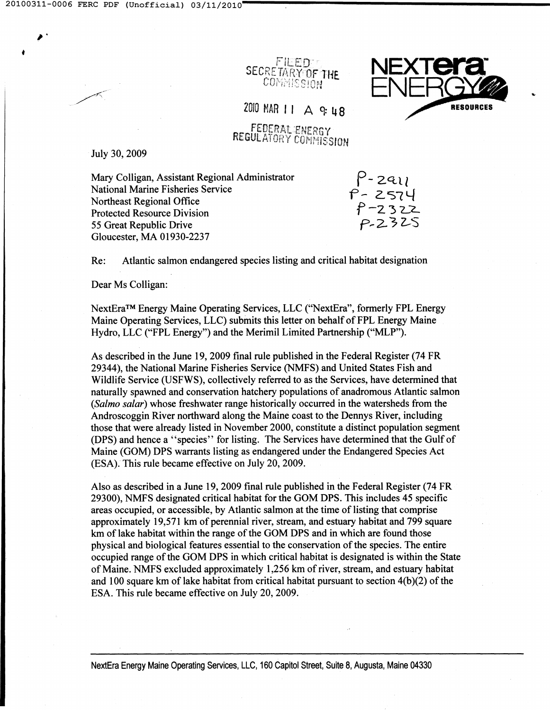•

11EFn∵ SECRETARY OF THE COMMISSION



2010 MAR 11 A 9: 48

FEDERAL ENERGY REGULATORY COMMISSION

July 30, 2009

Mary Colligan, Assistant Regional Administrator National Marine Fisheries Service Northeast Regional Office Protected Resource Division 55 Great Republic Drive Gloucester, MA 01930-2237

 $P$ -2all  $\ddot{r}$ - 2574 F 2574<br>f -2322 *P,..2-* 3 Z-S

Re: Atlantic salmon endangered species listing and critical habitat designation

Dear Ms Colligan:

NextEra™ Energy Maine Operating Services, LLC ("NextEra", formerly FPL Energy Maine Operating Services, LLC) submits this letter on behalf of FPL Energy Maine Hydro, LLC ("FPL Energy") and the Merimil Limited Partnership ("MLP").

As described in the June 19, 2009 final rule published in the Federal Register (74 FR 29344), the National Marine Fisheries Service (NMFS) and United States Fish and Wildlife Service (USFWS), collectively referred to as the Services, have determined that naturally spawned and conservation hatchery populations of anadromous Atlantic salmon *(Salmo salar)* whose freshwater range historically occurred in the watersheds from the Androscoggin River northward along the Maine coast to the Dennys River, including those that were already listed in November 2000, constitute a distinct population segment (DPS) and hence a "species" for listing. The Services have determined that the Gulf of Maine (GOM) DPS warrants listing as endangered under the Endangered Species Act (ESA). This rule became effective on July 20, 2009.

Also as described in a June 19, 2009 final rule published in the Federal Register (74 FR 29300), NMFS designated critical habitat for the GOM DPS. This includes 45 specific areas occupied, or accessible, by Atlantic salmon at the time of listing that comprise approximately 19,571 km of perennial river, stream, and estuary habitat and 799 square km of lake habitat within the range of the GOM DPS and in which are found those physical and biological features essential to the conservation of the species. The entire occupied range of the GOM DPS in which critical habitat is designated is within the State of Maine. NMFS excluded approximately 1,256 km of river, stream, and estuary habitat and 100 square km of lake habitat from critical habitat pursuant to section 4(b)(2) of the ESA. This rule became effective on July 20,2009.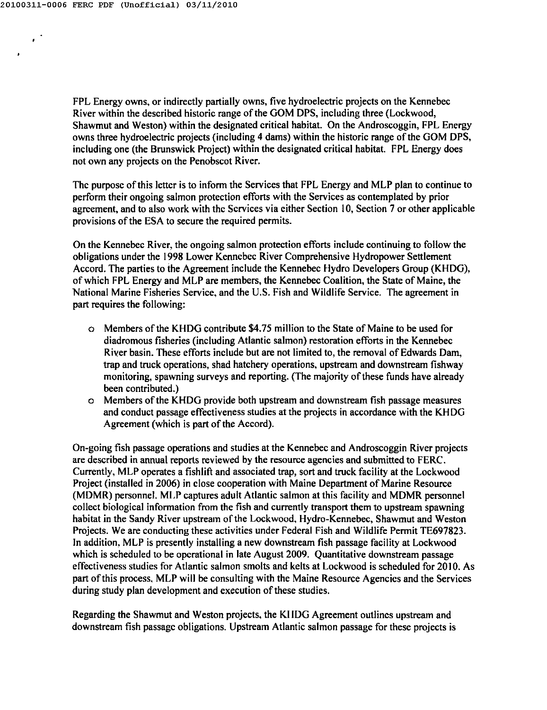$\epsilon^2$ 

 $\bullet$ 

FPL Energy owns, or indirectly partially owns, five hydroelectric projects on the Kennebec River within the described historic range of the GOM DPS, including three (Lockwood, Shawmut and Weston) within the designated critical habitat. On the Androscoggin, FPL Energy owns three hydroelectric projects (including 4 dams) within the historic range of the GOM DPS, including one (the Brunswick Project) within the designated critical habitat. FPL Energy does not own any projects on the Penobscot River.

Thc purpose of this letter is to inform the Services that FPL Energy and MLP plan to continue to perform their ongoing salmon protection efforts with the Services as contemplated by prior agreement, and to also work with thc Scrvices via either Section 10, Section 7 or other applicable provisions of the ESA to secure the required permits.

On the Kennebec River, the ongoing salmon protection efforts include continuing to follow the obligations under the 1998 Lower Kennebec River Comprehensive Hydropower Settlement Accord. The parties to the Agreement include the Kennebec Hydro Developers Group (KHDG), of which FPL Energy and MLP are members, the Kennebec Coalition, the State of Maine, the National Marine Fisheries Service, and the U.S. Fish and Wildlife Service. The agreement in part requires the following:

- a Members of the KHDG contribute \$4.75 million to the State of Maine to be used for diadromous fisheries (including Atlantic salmon) restoration efforts in the Kennebec River basin. These efforts include but are not limited to, the removal of Edwards Dam, trap and truck operations, shad hatchery operations, upstream and downstream fishway monitoring, spawning surveys and reporting. (The majority of these funds have already been contributed.)
- a Members of the KHDG provide both upstream and downstream fish passage measures and conduct passage effectiveness studies at the projects in accordance with the KHDG Agreement (which is part of the Accord).

On-going fish passage operations and studies at the Kennebec and Androscoggin River projects are described in annual reports reviewed by the resouree agencies and submitted to FERC. Currently, MLP operates a fishlift and associated trap, sort and truck facility at the Lockwood Project (installed in 2006) in close cooperation with Maine Department of Marine Resource (MDMR) personnel. MLP captures adult Atlantic salmon at this facility and MDMR personnel collect biological information from the fish and currently transport them to upstream spawning habitat in the Sandy River upstream of the Lockwood, Hydro-Kennebec, Shawmut and Weston Projects. We are conducting these activities under Federal Fish and Wildlife Permit TE697823. In addition, MLP is presently installing a new downstream fish passage facility at Lockwood which is scheduled to be opcrational in late August 2009. Quantitative downstream passage effectiveness studies for Atlantic salmon smolts and kelts at Lockwood is scheduled for 2010. As part of this process, MLP will be consulting with the Maine Resource Agencies and the Services during study plan development and execution of these studies.

Regarding the Shawmut and Weston projects, the KIIDG Agreement outlines upstream and downstream fish passage obligations. Upstream Atlantic salmon passage for these projects is